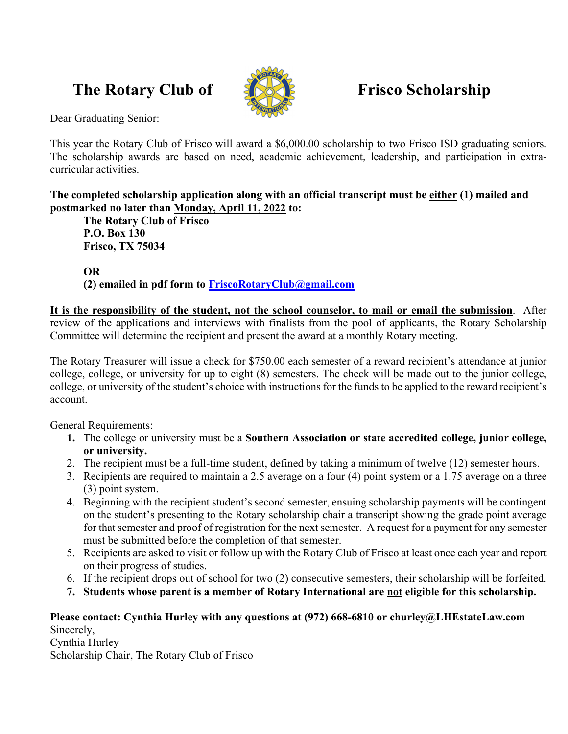# **The Rotary Club of Frisco Scholarship**



Dear Graduating Senior:

This year the Rotary Club of Frisco will award a \$6,000.00 scholarship to two Frisco ISD graduating seniors. The scholarship awards are based on need, academic achievement, leadership, and participation in extracurricular activities.

**The completed scholarship application along with an official transcript must be either (1) mailed and postmarked no later than Monday, April 11, 2022 to:** 

 **The Rotary Club of Frisco P.O. Box 130 Frisco, TX 75034** 

 **OR** 

 **(2) emailed in pdf form to FriscoRotaryClub@gmail.com**

**It is the responsibility of the student, not the school counselor, to mail or email the submission**. After review of the applications and interviews with finalists from the pool of applicants, the Rotary Scholarship Committee will determine the recipient and present the award at a monthly Rotary meeting.

The Rotary Treasurer will issue a check for \$750.00 each semester of a reward recipient's attendance at junior college, college, or university for up to eight (8) semesters. The check will be made out to the junior college, college, or university of the student's choice with instructions for the funds to be applied to the reward recipient's account.

General Requirements:

- **1.** The college or university must be a **Southern Association or state accredited college, junior college, or university.**
- 2. The recipient must be a full-time student, defined by taking a minimum of twelve (12) semester hours.
- 3. Recipients are required to maintain a 2.5 average on a four (4) point system or a 1.75 average on a three (3) point system.
- 4. Beginning with the recipient student's second semester, ensuing scholarship payments will be contingent on the student's presenting to the Rotary scholarship chair a transcript showing the grade point average for that semester and proof of registration for the next semester. A request for a payment for any semester must be submitted before the completion of that semester.
- 5. Recipients are asked to visit or follow up with the Rotary Club of Frisco at least once each year and report on their progress of studies.
- 6. If the recipient drops out of school for two (2) consecutive semesters, their scholarship will be forfeited.
- **7. Students whose parent is a member of Rotary International are not eligible for this scholarship.**

# **Please contact: Cynthia Hurley with any questions at (972) 668-6810 or churley@LHEstateLaw.com**  Sincerely,

Cynthia Hurley

Scholarship Chair, The Rotary Club of Frisco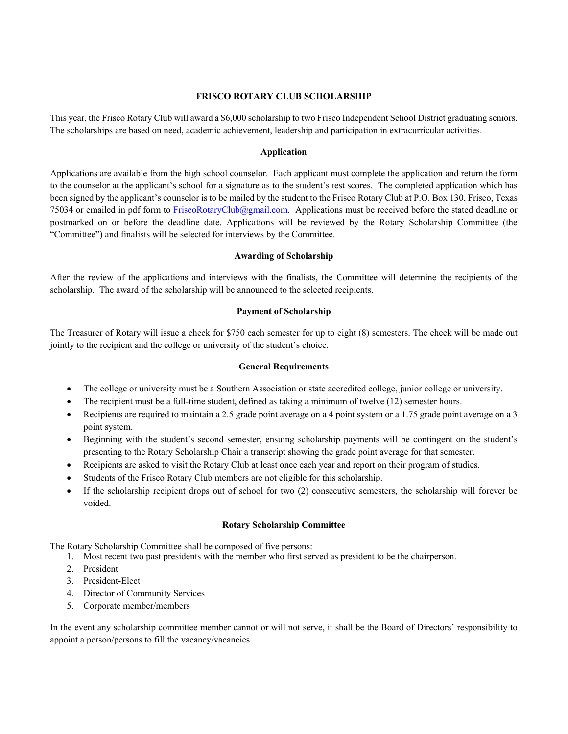# **FRISCO ROTARY CLUB SCHOLARSHIP**

This year, the Frisco Rotary Club will award a \$6,000 scholarship to two Frisco Independent School District graduating seniors. The scholarships are based on need, academic achievement, leadership and participation in extracurricular activities.

# **Application**

Applications are available from the high school counselor. Each applicant must complete the application and return the form to the counselor at the applicant's school for a signature as to the student's test scores. The completed application which has been signed by the applicant's counselor is to be mailed by the student to the Frisco Rotary Club at P.O. Box 130, Frisco, Texas 75034 or emailed in pdf form to FriscoRotaryClub@gmail.com. Applications must be received before the stated deadline or postmarked on or before the deadline date. Applications will be reviewed by the Rotary Scholarship Committee (the "Committee") and finalists will be selected for interviews by the Committee.

# **Awarding of Scholarship**

After the review of the applications and interviews with the finalists, the Committee will determine the recipients of the scholarship. The award of the scholarship will be announced to the selected recipients.

# **Payment of Scholarship**

The Treasurer of Rotary will issue a check for \$750 each semester for up to eight (8) semesters. The check will be made out jointly to the recipient and the college or university of the student's choice.

#### **General Requirements**

- The college or university must be a Southern Association or state accredited college, junior college or university.
- The recipient must be a full-time student, defined as taking a minimum of twelve (12) semester hours.
- Recipients are required to maintain a 2.5 grade point average on a 4 point system or a 1.75 grade point average on a 3 point system.
- Beginning with the student's second semester, ensuing scholarship payments will be contingent on the student's presenting to the Rotary Scholarship Chair a transcript showing the grade point average for that semester.
- Recipients are asked to visit the Rotary Club at least once each year and report on their program of studies.
- Students of the Frisco Rotary Club members are not eligible for this scholarship.
- If the scholarship recipient drops out of school for two (2) consecutive semesters, the scholarship will forever be voided.

# **Rotary Scholarship Committee**

The Rotary Scholarship Committee shall be composed of five persons:

- 1. Most recent two past presidents with the member who first served as president to be the chairperson.
- 2. President
- 3. President-Elect
- 4. Director of Community Services
- 5. Corporate member/members

In the event any scholarship committee member cannot or will not serve, it shall be the Board of Directors' responsibility to appoint a person/persons to fill the vacancy/vacancies.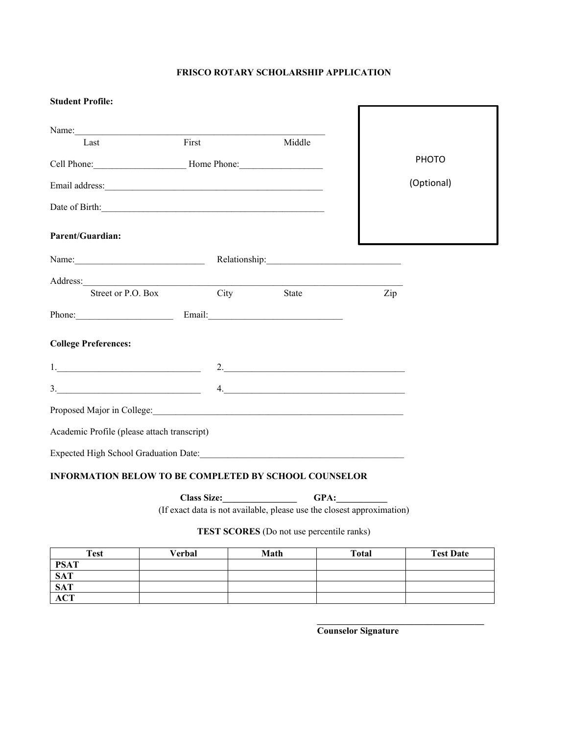# **FRISCO ROTARY SCHOLARSHIP APPLICATION**

Г

# **Student Profile:**

| Name:                                                                                                                                                                                                                         |      |                                                                                                                                                                                                                                                                                                                                                                                                                                                                                                     |     |              |
|-------------------------------------------------------------------------------------------------------------------------------------------------------------------------------------------------------------------------------|------|-----------------------------------------------------------------------------------------------------------------------------------------------------------------------------------------------------------------------------------------------------------------------------------------------------------------------------------------------------------------------------------------------------------------------------------------------------------------------------------------------------|-----|--------------|
| First<br>Last                                                                                                                                                                                                                 |      | Middle                                                                                                                                                                                                                                                                                                                                                                                                                                                                                              |     |              |
|                                                                                                                                                                                                                               |      |                                                                                                                                                                                                                                                                                                                                                                                                                                                                                                     |     | <b>PHOTO</b> |
|                                                                                                                                                                                                                               |      |                                                                                                                                                                                                                                                                                                                                                                                                                                                                                                     |     | (Optional)   |
| Date of Birth: 2000 and 2000 and 2000 and 2000 and 2000 and 2000 and 2000 and 2000 and 2000 and 2000 and 2000 and 2000 and 2000 and 2000 and 2000 and 2000 and 2000 and 2000 and 2000 and 2000 and 2000 and 2000 and 2000 and |      |                                                                                                                                                                                                                                                                                                                                                                                                                                                                                                     |     |              |
| <b>Parent/Guardian:</b>                                                                                                                                                                                                       |      |                                                                                                                                                                                                                                                                                                                                                                                                                                                                                                     |     |              |
| Name: <u>Name:</u> Relationship: Relationship:                                                                                                                                                                                |      |                                                                                                                                                                                                                                                                                                                                                                                                                                                                                                     |     |              |
| Address:                                                                                                                                                                                                                      |      |                                                                                                                                                                                                                                                                                                                                                                                                                                                                                                     |     |              |
| Street or P.O. Box                                                                                                                                                                                                            | City | State                                                                                                                                                                                                                                                                                                                                                                                                                                                                                               | Zip |              |
| Phone: Email: Email: Email:                                                                                                                                                                                                   |      |                                                                                                                                                                                                                                                                                                                                                                                                                                                                                                     |     |              |
| <b>College Preferences:</b>                                                                                                                                                                                                   |      |                                                                                                                                                                                                                                                                                                                                                                                                                                                                                                     |     |              |
|                                                                                                                                                                                                                               |      |                                                                                                                                                                                                                                                                                                                                                                                                                                                                                                     |     |              |
| 3.                                                                                                                                                                                                                            |      | $\begin{array}{c} \n4. \quad \textcolor{blue}{\textbf{12.12}} \quad \textcolor{blue}{\textbf{13.13}} \quad \textcolor{blue}{\textbf{14.13}} \quad \textcolor{blue}{\textbf{15.13}} \quad \textcolor{blue}{\textbf{16.13}} \quad \textcolor{blue}{\textbf{17.13}} \quad \textcolor{blue}{\textbf{18.13}} \quad \textcolor{blue}{\textbf{19.13}} \quad \textcolor{blue}{\textbf{19.13}} \quad \textcolor{blue}{\textbf{19.13}} \quad \textcolor{blue}{\textbf{19.13}} \quad \textcolor{blue}{\textbf$ |     |              |
|                                                                                                                                                                                                                               |      |                                                                                                                                                                                                                                                                                                                                                                                                                                                                                                     |     |              |
| Academic Profile (please attach transcript)                                                                                                                                                                                   |      |                                                                                                                                                                                                                                                                                                                                                                                                                                                                                                     |     |              |
| Expected High School Graduation Date: Manual Manual Manual Manual Manual Manual Manual Manual Manual Manual Ma                                                                                                                |      |                                                                                                                                                                                                                                                                                                                                                                                                                                                                                                     |     |              |

# **INFORMATION BELOW TO BE COMPLETED BY SCHOOL COUNSELOR**

**Class Size:\_\_\_\_\_\_\_\_\_\_\_\_\_\_\_\_ GPA:\_\_\_\_\_\_\_\_\_\_\_** 

(If exact data is not available, please use the closest approximation)

# **TEST SCORES** (Do not use percentile ranks)

| <b>Test</b> | Verbal | Math | <b>Total</b> | <b>Test Date</b> |
|-------------|--------|------|--------------|------------------|
| <b>PSAT</b> |        |      |              |                  |
|             |        |      |              |                  |
| SAT<br>SAT  |        |      |              |                  |
| <b>ACT</b>  |        |      |              |                  |

**Counselor Signature** 

 $\mathcal{L}=\{1,2,3,4,5\}$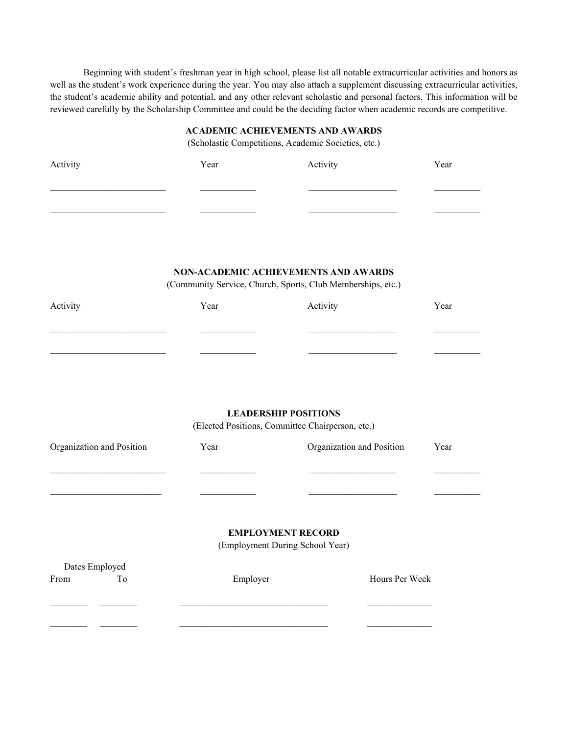Beginning with student's freshman year in high school, please list all notable extracurricular activities and honors as well as the student's work experience during the year. You may also attach a supplement discussing extracurricular activities, the student's academic ability and potential, and any other relevant scholastic and personal factors. This information will be reviewed carefully by the Scholarship Committee and could be the deciding factor when academic records are competitive.

#### **ACADEMIC ACHIEVEMENTS AND AWARDS**

(Scholastic Competitions, Academic Societies, etc.)

| Activity | Year | Activity | Year |
|----------|------|----------|------|
|          |      |          |      |
|          |      |          |      |
|          |      |          |      |

# **NON-ACADEMIC ACHIEVEMENTS AND AWARDS**

(Community Service, Church, Sports, Club Memberships, etc.)

| Activity | Year | Activity | Year |
|----------|------|----------|------|
|          |      |          |      |
|          |      |          |      |

# **LEADERSHIP POSITIONS**

(Elected Positions, Committee Chairperson, etc.)

| Organization and Position |    | Year                            | Organization and Position |                | Year |
|---------------------------|----|---------------------------------|---------------------------|----------------|------|
|                           |    |                                 |                           |                |      |
|                           |    |                                 |                           |                |      |
|                           |    | <b>EMPLOYMENT RECORD</b>        |                           |                |      |
|                           |    | (Employment During School Year) |                           |                |      |
| Dates Employed            |    |                                 |                           |                |      |
| From                      | To | Employer                        |                           | Hours Per Week |      |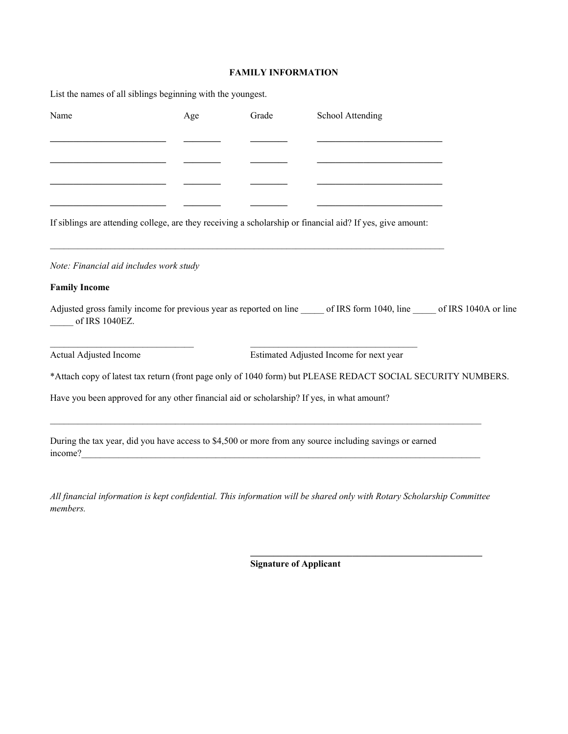# **FAMILY INFORMATION**

| List the names of all siblings beginning with the youngest.                                |     |       |                                                                                                                |  |
|--------------------------------------------------------------------------------------------|-----|-------|----------------------------------------------------------------------------------------------------------------|--|
| Name                                                                                       | Age | Grade | School Attending                                                                                               |  |
|                                                                                            |     |       |                                                                                                                |  |
|                                                                                            |     |       |                                                                                                                |  |
|                                                                                            |     |       |                                                                                                                |  |
|                                                                                            |     |       | If siblings are attending college, are they receiving a scholarship or financial aid? If yes, give amount:     |  |
| Note: Financial aid includes work study                                                    |     |       |                                                                                                                |  |
| <b>Family Income</b>                                                                       |     |       |                                                                                                                |  |
| of IRS 1040EZ.                                                                             |     |       | Adjusted gross family income for previous year as reported on line of IRS form 1040, line of IRS 1040A or line |  |
| Actual Adjusted Income                                                                     |     |       | Estimated Adjusted Income for next year                                                                        |  |
|                                                                                            |     |       | *Attach copy of latest tax return (front page only of 1040 form) but PLEASE REDACT SOCIAL SECURITY NUMBERS.    |  |
| Have you been approved for any other financial aid or scholarship? If yes, in what amount? |     |       |                                                                                                                |  |
| income?                                                                                    |     |       | During the tax year, did you have access to \$4,500 or more from any source including savings or earned        |  |
|                                                                                            |     |       |                                                                                                                |  |

*All financial information is kept confidential. This information will be shared only with Rotary Scholarship Committee members.* 

 $\frac{1}{2}$  ,  $\frac{1}{2}$  ,  $\frac{1}{2}$  ,  $\frac{1}{2}$  ,  $\frac{1}{2}$  ,  $\frac{1}{2}$  ,  $\frac{1}{2}$  ,  $\frac{1}{2}$  ,  $\frac{1}{2}$  ,  $\frac{1}{2}$  ,  $\frac{1}{2}$  ,  $\frac{1}{2}$  ,  $\frac{1}{2}$  ,  $\frac{1}{2}$  ,  $\frac{1}{2}$  ,  $\frac{1}{2}$  ,  $\frac{1}{2}$  ,  $\frac{1}{2}$  ,  $\frac{1$ 

 **Signature of Applicant**